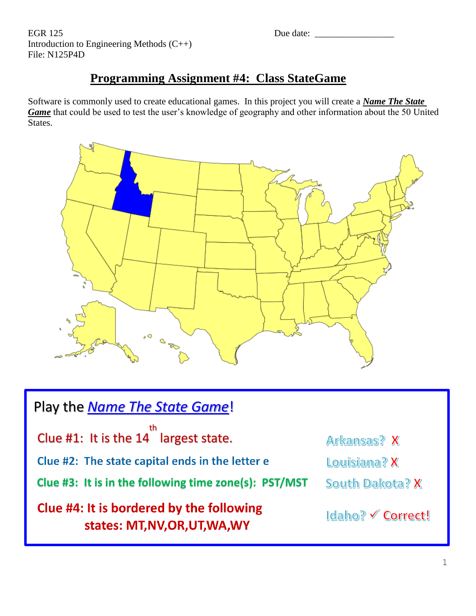EGR 125 Due date: \_\_\_\_\_\_\_\_\_\_\_\_\_\_\_\_\_ Introduction to Engineering Methods (C++) File: N125P4D

# **Programming Assignment #4: Class StateGame**

Software is commonly used to create educational games. In this project you will create a *Name The State Game* that could be used to test the user's knowledge of geography and other information about the 50 United States.



| Play the <b>Name The State Game!</b>                                       |                   |  |  |  |  |  |  |
|----------------------------------------------------------------------------|-------------------|--|--|--|--|--|--|
| Clue #1: It is the $14th$ largest state.                                   | Arkansas? X       |  |  |  |  |  |  |
| Clue #2: The state capital ends in the letter e                            | Louisiana? X      |  |  |  |  |  |  |
| Clue #3: It is in the following time zone(s): PST/MST                      | South Dakota? X   |  |  |  |  |  |  |
| Clue #4: It is bordered by the following<br>states: MT, NV, OR, UT, WA, WY | Idaho? V Correct! |  |  |  |  |  |  |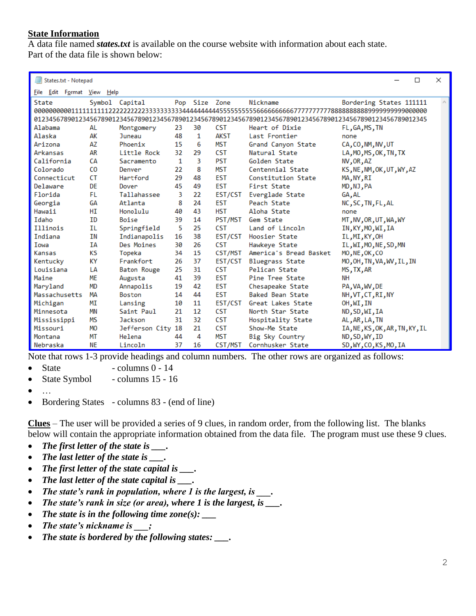# **State Information**

A data file named *states.txt* is available on the course website with information about each state. Part of the data file is shown below:

| □<br>States.txt - Notepad                                                                                  |           |                   |    |               |             |                         |                                | $\times$ |  |
|------------------------------------------------------------------------------------------------------------|-----------|-------------------|----|---------------|-------------|-------------------------|--------------------------------|----------|--|
| File Edit Format View Help                                                                                 |           |                   |    |               |             |                         |                                |          |  |
| State                                                                                                      |           | Symbol Capital    |    | Pop Size Zone |             | Nickname                | Bordering States 111111        |          |  |
|                                                                                                            |           |                   |    |               |             |                         |                                |          |  |
| 0123456789012345678901234567890123456789012345678901234567890123456789012345678901234567890123456789012345 |           |                   |    |               |             |                         |                                |          |  |
| Alabama                                                                                                    | AL        | Montgomery        | 23 | 30            | <b>CST</b>  | Heart of Dixie          | FL, GA, MS, TN                 |          |  |
| Alaska                                                                                                     | АK        | Juneau            | 48 | 1             | <b>AKST</b> | Last Frontier           | none                           |          |  |
| Arizona                                                                                                    | AZ        | Phoenix           | 15 | 6             | <b>MST</b>  | Grand Canyon State      | CA, CO, NM, NV, UT             |          |  |
| Arkansas                                                                                                   | AR        | Little Rock       | 32 | 29            | <b>CST</b>  | Natural State           | LA, MO, MS, OK, TN, TX         |          |  |
| California                                                                                                 | <b>CA</b> | Sacramento        | 1  | В             | <b>PST</b>  | Golden State            | NV, OR, AZ                     |          |  |
| Colorado                                                                                                   | CO        | Denver            | 22 | 8             | <b>MST</b>  | Centennial State        | KS, NE, NM, OK, UT, WY, AZ     |          |  |
| Connecticut                                                                                                | <b>CT</b> | <b>Hartford</b>   | 29 | 48            | <b>EST</b>  | Constitution State      | MA, NY, RI                     |          |  |
| Delaware                                                                                                   | <b>DE</b> | Dover             | 45 | 49            | <b>EST</b>  | First State             | MD, NJ, PA                     |          |  |
| Florida                                                                                                    | FL.       | Tallahassee       | 3  | 22            | EST/CST     | Everglade State         | GA, AL                         |          |  |
| Georgia                                                                                                    | <b>GA</b> | Atlanta           | 8  | 24            | <b>EST</b>  | Peach State             | NC, SC, TN, FL, AL             |          |  |
| Hawaii                                                                                                     | HI        | Honolulu          | 40 | 43            | <b>HST</b>  | Aloha State             | none                           |          |  |
| Idaho                                                                                                      | <b>TD</b> | Boise             | 39 | 14            | PST/MST     | Gem State               | MT, NV, OR, UT, WA, WY         |          |  |
| Illinois                                                                                                   | ΙL        | Springfield       | 5  | 25            | <b>CST</b>  | Land of Lincoln         | IN, KY, MO, WI, IA             |          |  |
| Indiana                                                                                                    | ΙN        | Indianapolis      | 16 | 38            | EST/CST     | Hoosier State           | IL, MI, KY, OH                 |          |  |
| Towa                                                                                                       | IΑ        | Des Moines        | 30 | 26            | <b>CST</b>  | Hawkeye State           | IL, WI, MO, NE, SD, MN         |          |  |
| Kansas                                                                                                     | ΚS        | Topeka            | 34 | 15            | CST/MST     | America's Bread Basket  | MO, NE, OK, CO                 |          |  |
| Kentucky                                                                                                   | КY        | Frankfort         | 26 | 37            | EST/CST     | <b>Bluegrass State</b>  | MO, OH, TN, VA, WV, IL, IN     |          |  |
| Louisiana                                                                                                  | LА        | Baton Rouge       | 25 | 31            | <b>CST</b>  | Pelican State           | MS, TX, AR                     |          |  |
| Maine                                                                                                      | ME        | Augusta           | 41 | 39            | <b>EST</b>  | Pine Tree State         | NН                             |          |  |
| Maryland                                                                                                   | <b>MD</b> | Annapolis         | 19 | 42            | <b>EST</b>  | Chesapeake State        | PA, VA, WV, DE                 |          |  |
| Massachusetts                                                                                              | MΑ        | <b>Boston</b>     | 14 | 44            | <b>EST</b>  | <b>Baked Bean State</b> | NH, VT, CT, RI, NY             |          |  |
| Michigan                                                                                                   | МT        | Lansing           | 10 | 11            | EST/CST     | Great Lakes State       | OH, WI, IN                     |          |  |
| Minnesota                                                                                                  | <b>MN</b> | Saint Paul        | 21 | 12            | <b>CST</b>  | North Star State        | ND, SD, WI, IA                 |          |  |
| Mississippi                                                                                                | <b>MS</b> | <b>Jackson</b>    | 31 | 32            | <b>CST</b>  | Hospitality State       | AL, AR, LA, TN                 |          |  |
| Missouri                                                                                                   | <b>MO</b> | Jefferson City 18 |    | 21            | <b>CST</b>  | Show-Me State           | IA, NE, KS, OK, AR, TN, KY, IL |          |  |
| Montana                                                                                                    | MT        | Helena            | 44 | 4             | <b>MST</b>  | Big Sky Country         | ND, SD, WY, ID                 |          |  |
| Nebraska                                                                                                   | <b>NE</b> | Lincoln           | 37 | 16            | CST/MST     | Cornhusker State        | SD,WY,CO,KS,MO,IA              |          |  |

Note that rows 1-3 provide headings and column numbers. The other rows are organized as follows:

 $\bullet$  State - columns  $0 - 14$ 

• State Symbol - columns 15 - 16

- …
- Bordering States columns 83 (end of line)

**Clues** – The user will be provided a series of 9 clues, in random order, from the following list. The blanks below will contain the appropriate information obtained from the data file. The program must use these 9 clues.

- *The first letter of the state is \_\_\_.*
- *The last letter of the state is \_\_\_.*
- *The first letter of the state capital is \_\_\_.*
- *The last letter of the state capital is \_\_\_.*
- *The state's rank in population, where 1 is the largest, is \_\_\_.*
- *The state's rank in size (or area), where 1 is the largest, is \_\_\_.*
- *The state is in the following time zone(s): \_\_\_*
- *The state's nickname is \_\_\_;*
- *The state is bordered by the following states: \_\_\_.*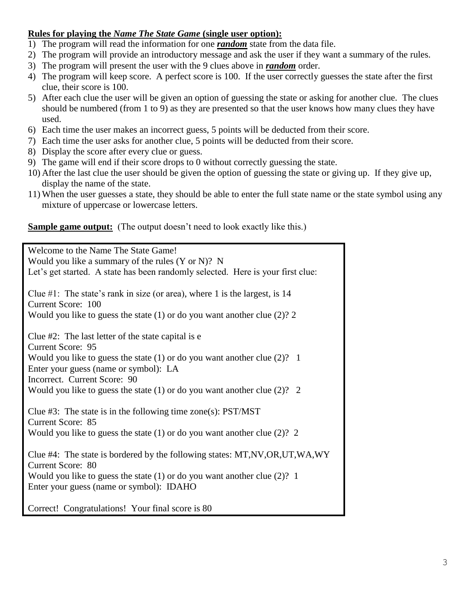# **Rules for playing the** *Name The State Game* **(single user option):**

- 1) The program will read the information for one *random* state from the data file.
- 2) The program will provide an introductory message and ask the user if they want a summary of the rules.
- 3) The program will present the user with the 9 clues above in *random* order.
- 4) The program will keep score. A perfect score is 100. If the user correctly guesses the state after the first clue, their score is 100.
- 5) After each clue the user will be given an option of guessing the state or asking for another clue. The clues should be numbered (from 1 to 9) as they are presented so that the user knows how many clues they have used.
- 6) Each time the user makes an incorrect guess, 5 points will be deducted from their score.
- 7) Each time the user asks for another clue, 5 points will be deducted from their score.
- 8) Display the score after every clue or guess.
- 9) The game will end if their score drops to 0 without correctly guessing the state.
- 10) After the last clue the user should be given the option of guessing the state or giving up. If they give up, display the name of the state.
- 11) When the user guesses a state, they should be able to enter the full state name or the state symbol using any mixture of uppercase or lowercase letters.

# **<u>Sample game output:</u>** (The output doesn't need to look exactly like this.)

| Welcome to the Name The State Game!                                                                |  |  |  |  |  |  |  |
|----------------------------------------------------------------------------------------------------|--|--|--|--|--|--|--|
| Would you like a summary of the rules $(Y \text{ or } N)$ ? N                                      |  |  |  |  |  |  |  |
| Let's get started. A state has been randomly selected. Here is your first clue:                    |  |  |  |  |  |  |  |
| Clue #1: The state's rank in size (or area), where 1 is the largest, is $14$<br>Current Score: 100 |  |  |  |  |  |  |  |
|                                                                                                    |  |  |  |  |  |  |  |
| Would you like to guess the state $(1)$ or do you want another clue $(2)$ ? 2                      |  |  |  |  |  |  |  |
| Clue $#2$ : The last letter of the state capital is e                                              |  |  |  |  |  |  |  |
| <b>Current Score: 95</b>                                                                           |  |  |  |  |  |  |  |
| Would you like to guess the state $(1)$ or do you want another clue $(2)?$ 1                       |  |  |  |  |  |  |  |
| Enter your guess (name or symbol): LA                                                              |  |  |  |  |  |  |  |
| Incorrect. Current Score: 90                                                                       |  |  |  |  |  |  |  |
| Would you like to guess the state $(1)$ or do you want another clue $(2)$ ? 2                      |  |  |  |  |  |  |  |
| Clue $#3$ : The state is in the following time zone(s): $PST/MST$                                  |  |  |  |  |  |  |  |
| <b>Current Score: 85</b>                                                                           |  |  |  |  |  |  |  |
| Would you like to guess the state $(1)$ or do you want another clue $(2)? 2$                       |  |  |  |  |  |  |  |
| Clue #4: The state is bordered by the following states: MT,NV,OR,UT,WA,WY                          |  |  |  |  |  |  |  |
| <b>Current Score: 80</b>                                                                           |  |  |  |  |  |  |  |
| Would you like to guess the state $(1)$ or do you want another clue $(2)$ ? 1                      |  |  |  |  |  |  |  |
| Enter your guess (name or symbol): IDAHO                                                           |  |  |  |  |  |  |  |
| Correct! Congratulations! Your final score is 80                                                   |  |  |  |  |  |  |  |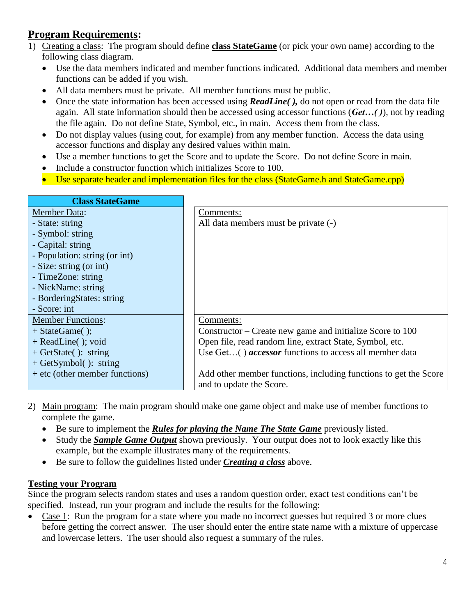# **Program Requirements:**

- 1) Creating a class: The program should define **class StateGame** (or pick your own name) according to the following class diagram.
	- Use the data members indicated and member functions indicated. Additional data members and member functions can be added if you wish.
	- All data members must be private. All member functions must be public.
	- Once the state information has been accessed using *ReadLine()*, do not open or read from the data file again. All state information should then be accessed using accessor functions (*Get…( )*), not by reading the file again. Do not define State, Symbol, etc., in main. Access them from the class.
	- Do not display values (using cout, for example) from any member function. Access the data using accessor functions and display any desired values within main.
	- Use a member functions to get the Score and to update the Score. Do not define Score in main.
	- Include a constructor function which initializes Score to 100.
	- Use separate header and implementation files for the class (StateGame.h and StateGame.cpp)

| <b>Class StateGame</b>           |                                                                  |
|----------------------------------|------------------------------------------------------------------|
| <b>Member Data:</b>              | Comments:                                                        |
| - State: string                  | All data members must be private (-)                             |
| - Symbol: string                 |                                                                  |
| - Capital: string                |                                                                  |
| - Population: string (or int)    |                                                                  |
| - Size: string (or int)          |                                                                  |
| - TimeZone: string               |                                                                  |
| - NickName: string               |                                                                  |
| - BorderingStates: string        |                                                                  |
| - Score: int                     |                                                                  |
| <b>Member Functions:</b>         | Comments:                                                        |
| $+ StateGame($ );                | Constructor – Create new game and initialize Score to 100        |
| $+$ ReadLine( $)$ ; void         | Open file, read random line, extract State, Symbol, etc.         |
| $+$ GetState(): string           | Use $Get()$ <i>accessor</i> functions to access all member data  |
| $+ \text{GetSymbol}$ : string    |                                                                  |
| $+$ etc (other member functions) | Add other member functions, including functions to get the Score |
|                                  | and to update the Score.                                         |

- 2) Main program: The main program should make one game object and make use of member functions to complete the game.
	- Be sure to implement the *Rules for playing the Name The State Game* previously listed.
	- Study the *Sample Game Output* shown previously. Your output does not to look exactly like this example, but the example illustrates many of the requirements.
	- Be sure to follow the guidelines listed under *Creating a class* above.

#### **Testing your Program**

Since the program selects random states and uses a random question order, exact test conditions can't be specified. Instead, run your program and include the results for the following:

• Case 1: Run the program for a state where you made no incorrect guesses but required 3 or more clues before getting the correct answer. The user should enter the entire state name with a mixture of uppercase and lowercase letters. The user should also request a summary of the rules.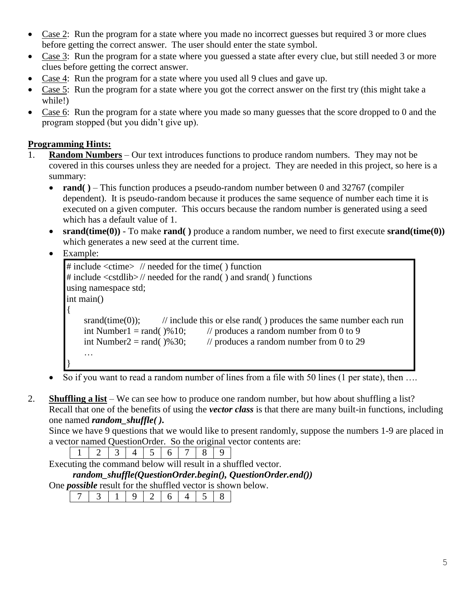- Case 2: Run the program for a state where you made no incorrect guesses but required 3 or more clues before getting the correct answer. The user should enter the state symbol.
- Case 3: Run the program for a state where you guessed a state after every clue, but still needed 3 or more clues before getting the correct answer.
- Case 4: Run the program for a state where you used all 9 clues and gave up.
- Case 5: Run the program for a state where you got the correct answer on the first try (this might take a while!)
- Case 6: Run the program for a state where you made so many guesses that the score dropped to 0 and the program stopped (but you didn't give up).

### **Programming Hints:**

- 1. **Random Numbers** Our text introduces functions to produce random numbers. They may not be covered in this courses unless they are needed for a project. They are needed in this project, so here is a summary:
	- **rand()** This function produces a pseudo-random number between 0 and 32767 (compiler dependent). It is pseudo-random because it produces the same sequence of number each time it is executed on a given computer. This occurs because the random number is generated using a seed which has a default value of 1.
	- **srand(time(0))** To make **rand( )** produce a random number, we need to first execute **srand(time(0))** which generates a new seed at the current time.

• Example:

```
# include <ctime> // needed for the time( ) function
# include <cstdlib> // needed for the rand( ) and srand( ) functions
using namespace std;
int main()
{
    srand(time(0)); // include this or else rand( ) produces the same number each run
    int Number1 = rand(\frac{9}{6}10; // produces a random number from 0 to 9
    int Number2 = rand(\frac{9}{6}30; // produces a random number from 0 to 29
    …
}
```
- $\bullet$  So if you want to read a random number of lines from a file with 50 lines (1 per state), then ...
- 2. **Shuffling a list** We can see how to produce one random number, but how about shuffling a list? Recall that one of the benefits of using the *vector class* is that there are many built-in functions, including one named *random\_shuffle( ).*

Since we have 9 questions that we would like to present randomly, suppose the numbers 1-9 are placed in a vector named QuestionOrder. So the original vector contents are:

|                                                                    |  | 1234456789 |  |  |  |  |  |  |  |  |
|--------------------------------------------------------------------|--|------------|--|--|--|--|--|--|--|--|
| Executing the command below will result in a shuffled vector.      |  |            |  |  |  |  |  |  |  |  |
| $random\_shuffle(QuestionOrder. begin(), QuestionOrder. end())$    |  |            |  |  |  |  |  |  |  |  |
| One <i>possible</i> result for the shuffled vector is shown below. |  |            |  |  |  |  |  |  |  |  |
|                                                                    |  |            |  |  |  |  |  |  |  |  |